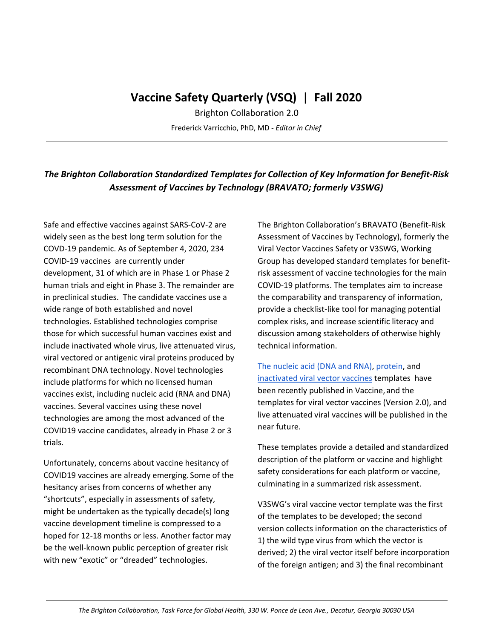# **Vaccine Safety Quarterly (VSQ)** | **Fall 2020**

Brighton Collaboration 2.0 Frederick Varricchio, PhD, MD - *Editor in Chief*

## *The Brighton Collaboration Standardized Templates for Collection of Key Information for Benefit-Risk Assessment of Vaccines by Technology (BRAVATO; formerly V3SWG)*

Safe and effective vaccines against SARS-CoV-2 are widely seen as the best long term solution for the COVD-19 pandemic. As of September 4, 2020, 234 COVID-19 vaccines are currently under development, 31 of which are in Phase 1 or Phase 2 human trials and eight in Phase 3. The remainder are in preclinical studies. The candidate vaccines use a wide range of both established and novel technologies. Established technologies comprise those for which successful human vaccines exist and include inactivated whole virus, live attenuated virus, viral vectored or antigenic viral proteins produced by recombinant DNA technology. Novel technologies include platforms for which no licensed human vaccines exist, including nucleic acid (RNA and DNA) vaccines. Several vaccines using these novel technologies are among the most advanced of the COVID19 vaccine candidates, already in Phase 2 or 3 trials.

Unfortunately, concerns about vaccine hesitancy of COVID19 vaccines are already emerging. Some of the hesitancy arises from concerns of whether any "shortcuts", especially in assessments of safety, might be undertaken as the typically decade(s) long vaccine development timeline is compressed to a hoped for 12-18 months or less. Another factor may be the well-known public perception of greater risk with new "exotic" or "dreaded" technologies.

The Brighton Collaboration's BRAVATO (Benefit-Risk Assessment of Vaccines by Technology), formerly the Viral Vector Vaccines Safety or V3SWG, Working Group has developed standard templates for benefitrisk assessment of vaccine technologies for the main COVID-19 platforms. The templates aim to increase the comparability and transparency of information, provide a checklist-like tool for managing potential complex risks, and increase scientific literacy and discussion among stakeholders of otherwise highly technical information.

The [nucleic](https://www.sciencedirect.com/science/article/pii/S0264410X20307891?via%3Dihub) acid (DNA and RNA), [protein,](https://www.sciencedirect.com/science/article/pii/S0264410X20308306) and [inactivated](https://www.sciencedirect.com/science/article/pii/S0264410X20309440) viral vector vaccines templates have been recently published in Vaccine, and the templates for viral vector vaccines (Version 2.0), and live attenuated viral vaccines will be published in the near future.

These templates provide a detailed and standardized description of the platform or vaccine and highlight safety considerations for each platform or vaccine, culminating in a summarized risk assessment.

V3SWG's viral vaccine vector template was the first of the templates to be developed; the second version collects information on the characteristics of 1) the wild type virus from which the vector is derived; 2) the viral vector itself before incorporation of the foreign antigen; and 3) the final recombinant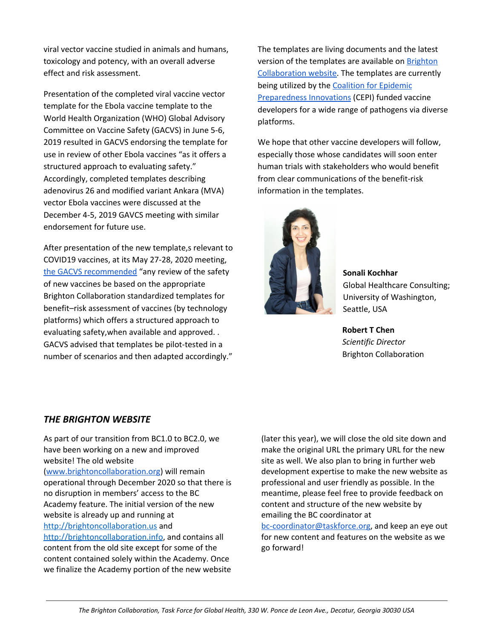viral vector vaccine studied in animals and humans, toxicology and potency, with an overall adverse effect and risk assessment.

Presentation of the completed viral vaccine vector template for the Ebola vaccine template to the World Health Organization (WHO) Global Advisory Committee on Vaccine Safety (GACVS) in June 5-6, 2019 resulted in GACVS endorsing the template for use in review of other Ebola vaccines "as it offers a structured approach to evaluating safety." Accordingly, completed templates describing adenovirus 26 and modified variant Ankara (MVA) vector Ebola vaccines were discussed at the December 4-5, 2019 GAVCS meeting with similar endorsement for future use.

After presentation of the new template,s relevant to COVID19 vaccines, at its May 27-28, 2020 meeting, the GACVS [recommended](https://apps.who.int/iris/bitstream/handle/10665/333136/WER9528-eng-fre.pdf?ua) "any review of the safety of new vaccines be based on the appropriate Brighton Collaboration standardized templates for benefit–risk assessment of vaccines (by technology platforms) which offers a structured approach to evaluating safety,when available and approved. . GACVS advised that templates be pilot-tested in a number of scenarios and then adapted accordingly."

The templates are living documents and the latest version of the templates are available on [Brighton](http://www.brightoncollaboration.us/V3SWG) [Collaboration](http://www.brightoncollaboration.us/V3SWG) website. The templates are currently being utilized by the Coalition for [Epidemic](http://www.cepi.net/) [Preparedness](http://www.cepi.net/) Innovations (CEPI) funded vaccine developers for a wide range of pathogens via diverse platforms.

We hope that other vaccine developers will follow, especially those whose candidates will soon enter human trials with stakeholders who would benefit from clear communications of the benefit-risk information in the templates.



**Sonali Kochhar** Global Healthcare Consulting; University of Washington, Seattle, USA

**Robert T Chen** *Scientific Director* Brighton Collaboration

## *THE BRIGHTON WEBSITE*

As part of our transition from BC1.0 to BC2.0, we have been working on a new and improved website! The old website [\(www.brightoncollaboration.org\)](http://www.brightoncollaboration.org/) will remain operational through December 2020 so that there is no disruption in members' access to the BC Academy feature. The initial version of the new website is already up and running at [http://brightoncollaboration.us](http://brightoncollaboration.us/) and [http://brightoncollaboration.info](http://brightoncollaboration.info/), and contains all content from the old site except for some of the content contained solely within the Academy. Once we finalize the Academy portion of the new website (later this year), we will close the old site down and make the original URL the primary URL for the new site as well. We also plan to bring in further web development expertise to make the new website as professional and user friendly as possible. In the meantime, please feel free to provide feedback on content and structure of the new website by emailing the BC coordinator at

[bc-coordinator@taskforce.org](mailto:bc-coordinator@taskforce.org), and keep an eye out for new content and features on the website as we go forward!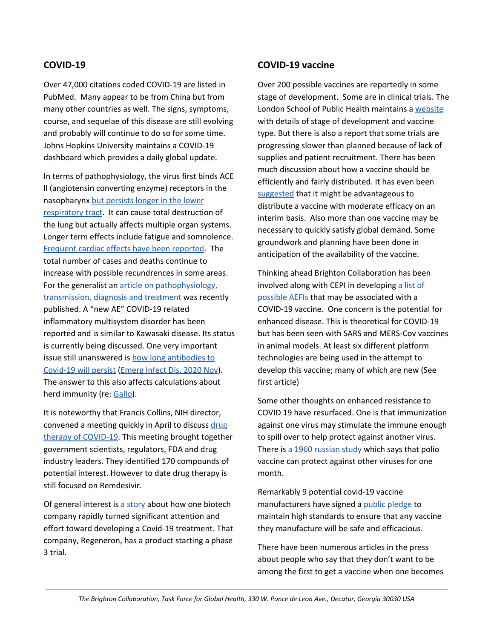## **COVID-19**

Over 47,000 citations coded COVID-19 are listed in PubMed. Many appear to be from China but from many other countries as well. The signs, symptoms, course, and sequelae of this disease are still evolving and probably will continue to do so for some time. Johns Hopkins University maintains a COVID-19 dashboard which provides a daily global update.

In terms of pathophysiology, the virus first binds ACE ll (angiotensin converting enzyme) receptors in the nasopharynx but [persists](https://www.ema.europa.eu/en/news/latest-data-support-continued-use-ace-inhibitors-arb-medicines-during-covid-19-pandemic) longer in the lower [respiratory](https://www.ema.europa.eu/en/news/latest-data-support-continued-use-ace-inhibitors-arb-medicines-during-covid-19-pandemic) tract. It can cause total destruction of the lung but actually affects multiple organ systems. Longer term effects include fatigue and somnolence. [Frequent](https://jamanetwork.com/journals/jama/fullarticle/2768351) cardiac effects have been reported. The total number of cases and deaths continue to increase with possible recundrences in some areas. For the generalist an article on [pathophysiology,](https://jamanetwork.com/journals/jama/fullarticle/2768391) [transmission,](https://jamanetwork.com/journals/jama/fullarticle/2768391) diagnosis and treatment was recently published. A "new AE" COVID-19 related inflammatory multisystem disorder has been reported and is similar to Kawasaki disease. Its status is currently being discussed. One very important issue still unanswered is how long [antibodies](https://www.thelancet.com/journals/lancet/article/PIIS0140-6736(20)31483-5/fulltext) to [Covid-19](https://www.thelancet.com/journals/lancet/article/PIIS0140-6736(20)31483-5/fulltext) will persist [\(Emerg](https://wwwnc.cdc.gov/eid/article/26/11/20-2736_article) Infect Dis. 2020 Nov). The answer to this also affects calculations about herd immunity (re: [Gallo\)](https://twitter.com/drrobertcgallo?lang=en).

It is noteworthy that Francis Collins, NIH director, convened a meeting quickly in April to discuss [drug](https://www.nih.gov/news-events/news-releases/nih-launch-public-private-partnership-speed-covid-19-vaccine-treatment-options) therapy of [COVID-19](https://www.nih.gov/news-events/news-releases/nih-launch-public-private-partnership-speed-covid-19-vaccine-treatment-options). This meeting brought together government scientists, regulators, FDA and drug industry leaders. They identified 170 compounds of potential interest. However to date drug therapy is still focused on Remdesivir.

Of general interest is a [story](https://www.nytimes.com/2020/07/09/health/regeneron-monoclonal-antibodies.html) about how one biotech company rapidly turned significant attention and effort toward developing a Covid-19 treatment. That company, Regeneron, has a product starting a phase 3 trial.

### **COVID-19 vaccine**

Over 200 possible vaccines are reportedly in some stage of development. Some are in clinical trials. The London School of Public Health maintains a [website](https://vac-lshtm.shinyapps.io/ncov_tracker/) with details of stage of development and vaccine type. But there is also a report that some trials are progressing slower than planned because of lack of supplies and patient recruitment. There has been much discussion about how a vaccine should be efficiently and fairly distributed. It has even been [suggested](https://www.nytimes.com/2020/08/27/health/covid-19-vaccines.html) that it might be advantageous to distribute a vaccine with moderate efficacy on an interim basis. Also more than one vaccine may be necessary to quickly satisfy global demand. Some groundwork and planning have been done in anticipation of the availability of the vaccine.

Thinking ahead Brighton Collaboration has been involved along with CEPI in developing a [list](https://brightoncollaboration.us/priority-list-aesi-covid/) of [possible](https://brightoncollaboration.us/priority-list-aesi-covid/) AEFIs that may be associated with a COVID-19 vaccine. One concern is the potential for enhanced disease. This is theoretical for COVID-19 but has been seen with SARS and MERS-Cov vaccines in animal models. At least six different platform technologies are being used in the attempt to develop this vaccine; many of which are new (See first article)

Some other thoughts on enhanced resistance to COVID 19 have resurfaced. One is that immunization against one virus may stimulate the immune enough to spill over to help protect against another virus. There is a 1960 [russian](https://www.nytimes.com/2020/06/24/world/europe/vaccine-repurposing-polio-coronavirus.html) study which says that polio vaccine can protect against other viruses for one month.

Remarkably 9 potential covid-19 vaccine manufacturers have signed a public [pledge](https://www.wsj.com/articles/covid-19-vaccine-developers-prepare-joint-pledge-on-safety-standards-11599257729) to maintain high standards to ensure that any vaccine they manufacture will be safe and efficacious.

There have been numerous articles in the press about people who say that they don't want to be among the first to get a vaccine when one becomes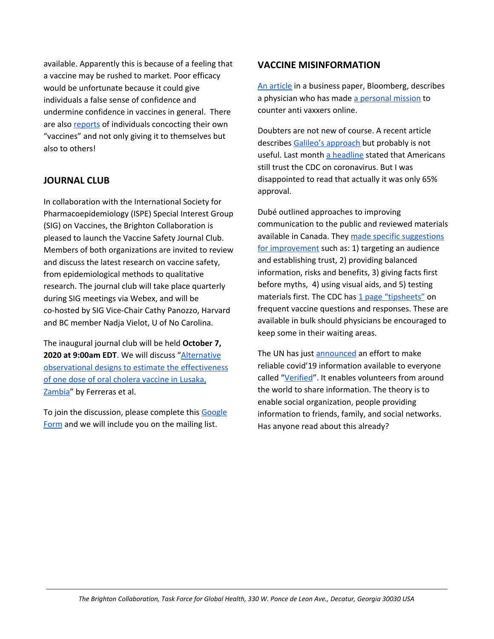available. Apparently this is because of a feeling that a vaccine may be rushed to market. Poor efficacy would be unfortunate because it could give individuals a false sense of confidence and undermine confidence in vaccines in general. There are also [reports](https://www.nytimes.com/2020/09/01/science/covid-19-vaccine-diy.html) of individuals concocting their own "vaccines" and not only giving it to themselves but also to others!

## **JOURNAL CLUB**

In collaboration with the International Society for Pharmacoepidemiology (ISPE) Special Interest Group (SIG) on Vaccines, the Brighton Collaboration is pleased to launch the Vaccine Safety Journal Club. Members of both organizations are invited to review and discuss the latest research on vaccine safety, from epidemiological methods to qualitative research. The journal club will take place quarterly during SIG meetings via Webex, and will be co-hosted by SIG Vice-Chair Cathy Panozzo, Harvard and BC member Nadja Vielot, U of No Carolina.

The inaugural journal club will be held **October 7, 2020 at 9:00am EDT**. We will discuss ["Alternative](https://pubmed.ncbi.nlm.nih.gov/32167038/) [observational](https://pubmed.ncbi.nlm.nih.gov/32167038/) designs to estimate the effectiveness of one dose of oral [cholera](https://pubmed.ncbi.nlm.nih.gov/32167038/) vaccine in Lusaka, [Zambia"](https://pubmed.ncbi.nlm.nih.gov/32167038/) by Ferreras et al.

To join the discussion, please complete this [Google](https://forms.gle/R1d7Dcp9P8zw34jT8) [Form](https://forms.gle/R1d7Dcp9P8zw34jT8) and we will include you on the mailing list.

### **VACCINE MISINFORMATION**

An [article](https://www.bloomberg.com/features/2020-zdoggmd-covid-antivaxxers/?cmpid=socialflow-facebook-business&utm_medium=social&utm_source=facebook&utm_content=business&utm_campaign=socialflow-organic) in a business paper, Bloomberg, describes a physician who has made a [personal](https://zdoggmd.com/) mission to counter anti vaxxers online.

Doubters are not new of course. A recent article describes Galileo's [approach](https://www.scientificamerican.com/article/how-galileo-battled-the-science-deniers-of-his-time/) but probably is not useful. Last month a [headline](https://www.nytimes.com/2020/06/27/upshot/coronavirus-americans-trust-experts.html) stated that Americans still trust the CDC on coronavirus. But I was disappointed to read that actually it was only 65% approval.

Dubé outlined approaches to improving communication to the public and reviewed materials available in Canada. They made specific [suggestions](https://www.ncbi.nlm.nih.gov/pubmed/32167088) for [improvement](https://www.ncbi.nlm.nih.gov/pubmed/32167088) such as: 1) targeting an audience and establishing trust, 2) providing balanced information, risks and benefits, 3) giving facts first before myths, 4) using visual aids, and 5) testing materials first. The CDC has 1 page ["tipsheets"](https://www.cdc.gov/vaccinesafety/hcproviders/talkingtopatients.html) on frequent vaccine questions and responses. These are available in bulk should physicians be encouraged to keep some in their waiting areas.

The UN has just [announced](https://news.un.org/en/story/2020/05/1064622) an effort to make reliable covid'19 information available to everyone called ["Verified"](https://www.shareverified.com/en). It enables volunteers from around the world to share information. The theory is to enable social organization, people providing information to friends, family, and social networks. Has anyone read about this already?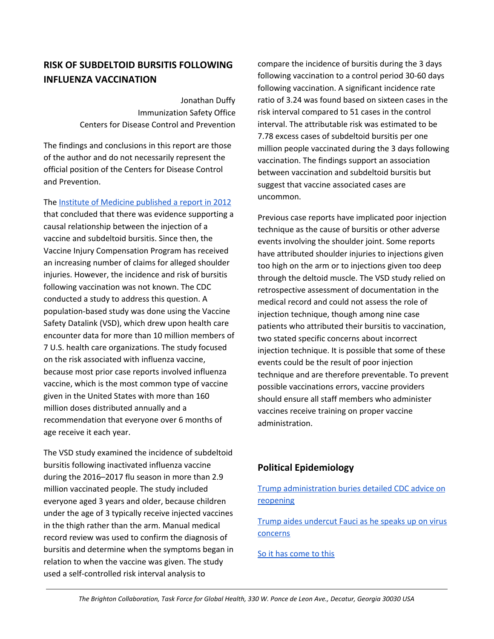## **RISK OF SUBDELTOID BURSITIS FOLLOWING INFLUENZA VACCINATION**

Jonathan Duffy Immunization Safety Office Centers for Disease Control and Prevention

The findings and conclusions in this report are those of the author and do not necessarily represent the official position of the Centers for Disease Control and Prevention.

The Institute of Medicine [published](https://www.acpjournals.org/doi/10.7326/M19-3176) a report in 2012

that concluded that there was evidence supporting a causal relationship between the injection of a vaccine and subdeltoid bursitis. Since then, the Vaccine Injury Compensation Program has received an increasing number of claims for alleged shoulder injuries. However, the incidence and risk of bursitis following vaccination was not known. The CDC conducted a study to address this question. A population-based study was done using the Vaccine Safety Datalink (VSD), which drew upon health care encounter data for more than 10 million members of 7 U.S. health care organizations. The study focused on the risk associated with influenza vaccine, because most prior case reports involved influenza vaccine, which is the most common type of vaccine given in the United States with more than 160 million doses distributed annually and a recommendation that everyone over 6 months of age receive it each year.

The VSD study examined the incidence of subdeltoid bursitis following inactivated influenza vaccine during the 2016–2017 flu season in more than 2.9 million vaccinated people. The study included everyone aged 3 years and older, because children under the age of 3 typically receive injected vaccines in the thigh rather than the arm. Manual medical record review was used to confirm the diagnosis of bursitis and determine when the symptoms began in relation to when the vaccine was given. The study used a self-controlled risk interval analysis to

compare the incidence of bursitis during the 3 days following vaccination to a control period 30-60 days following vaccination. A significant incidence rate ratio of 3.24 was found based on sixteen cases in the risk interval compared to 51 cases in the control interval. The attributable risk was estimated to be 7.78 excess cases of subdeltoid bursitis per one million people vaccinated during the 3 days following vaccination. The findings support an association between vaccination and subdeltoid bursitis but suggest that vaccine associated cases are uncommon.

Previous case reports have implicated poor injection technique as the cause of bursitis or other adverse events involving the shoulder joint. Some reports have attributed shoulder injuries to injections given too high on the arm or to injections given too deep through the deltoid muscle. The VSD study relied on retrospective assessment of documentation in the medical record and could not assess the role of injection technique, though among nine case patients who attributed their bursitis to vaccination, two stated specific concerns about incorrect injection technique. It is possible that some of these events could be the result of poor injection technique and are therefore preventable. To prevent possible vaccinations errors, vaccine providers should ensure all staff members who administer vaccines receive training on proper vaccine administration.

## **Political Epidemiology**

Trump [administration](https://apnews.com/article/7a00d5fba3249e573d2ead4bd323a4d4) buries detailed CDC advice on [reopening](https://apnews.com/article/7a00d5fba3249e573d2ead4bd323a4d4)

Trump aides [undercut](https://www.nytimes.com/2020/07/12/us/politics/fauci-trump-coronavirus.html) Fauci as he speaks up on virus [concerns](https://www.nytimes.com/2020/07/12/us/politics/fauci-trump-coronavirus.html)

So it has [come](https://xkcd.com/1022/) to this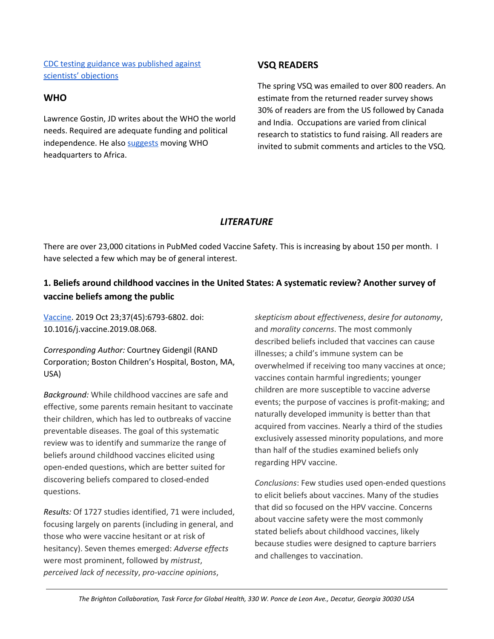CDC testing guidance was [published](https://www.nytimes.com/2020/09/17/health/coronavirus-testing-cdc.html) against scientists' [objections](https://www.nytimes.com/2020/09/17/health/coronavirus-testing-cdc.html)

## **WHO**

Lawrence Gostin, JD writes about the WHO the world needs. Required are adequate funding and political independence. He also [suggests](https://jamanetwork.com/journals/jama/fullarticle/2767148) moving WHO headquarters to Africa.

## **VSQ READERS**

The spring VSQ was emailed to over 800 readers. An estimate from the returned reader survey shows 30% of readers are from the US followed by Canada and India. Occupations are varied from clinical research to statistics to fund raising. All readers are invited to submit comments and articles to the VSQ.

## *LITERATURE*

There are over 23,000 citations in PubMed coded Vaccine Safety. This is increasing by about 150 per month. I have selected a few which may be of general interest.

## **1. Beliefs around childhood vaccines in the United States: A systematic review? Another survey of vaccine beliefs among the public**

[Vaccine](https://pubmed.ncbi.nlm.nih.gov/31562000/). 2019 Oct 23;37(45):6793-6802. doi: 10.1016/j.vaccine.2019.08.068.

*Corresponding Author:* Courtney Gidengil (RAND Corporation; Boston Children's Hospital, Boston, MA, USA)

*Background:* While childhood vaccines are safe and effective, some parents remain hesitant to vaccinate their children, which has led to outbreaks of vaccine preventable diseases. The goal of this systematic review was to identify and summarize the range of beliefs around childhood vaccines elicited using open-ended questions, which are better suited for discovering beliefs compared to closed-ended questions.

*Results:* Of 1727 studies identified, 71 were included, focusing largely on parents (including in general, and those who were vaccine hesitant or at risk of hesitancy). Seven themes emerged: *Adverse effects* were most prominent, followed by *mistrust*, *perceived lack of necessity*, *pro-vaccine opinions*,

*skepticism about effectiveness*, *desire for autonomy*, and *morality concerns*. The most commonly described beliefs included that vaccines can cause illnesses; a child's immune system can be overwhelmed if receiving too many vaccines at once; vaccines contain harmful ingredients; younger children are more susceptible to vaccine adverse events; the purpose of vaccines is profit-making; and naturally developed immunity is better than that acquired from vaccines. Nearly a third of the studies exclusively assessed minority populations, and more than half of the studies examined beliefs only regarding HPV vaccine.

*Conclusions*: Few studies used open-ended questions to elicit beliefs about vaccines. Many of the studies that did so focused on the HPV vaccine. Concerns about vaccine safety were the most commonly stated beliefs about childhood vaccines, likely because studies were designed to capture barriers and challenges to vaccination.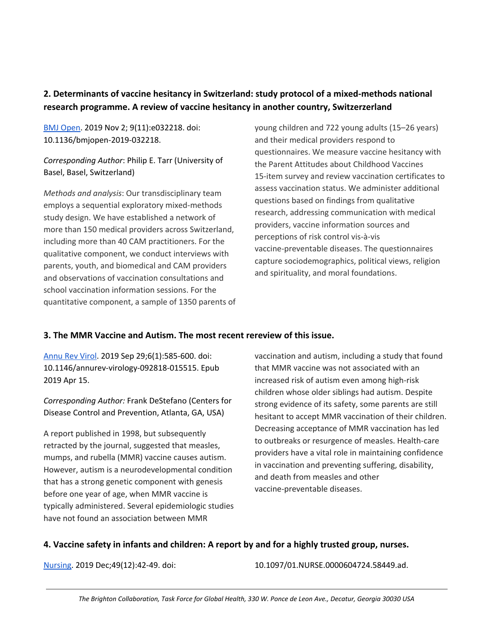## **2. Determinants of vaccine hesitancy in Switzerland: study protocol of a mixed-methods national research programme. A review of vaccine hesitancy in another country, Switzerzerland**

BMJ [Open.](http://bmjopen.bmj.com/cgi/pmidlookup?view=long&pmid=31678955) 2019 Nov 2; 9(11):e032218. doi: 10.1136/bmjopen-2019-032218.

## *Corresponding Author*: Philip E. Tarr (University of Basel, Basel, Switzerland)

*Methods and analysis*: Our transdisciplinary team employs a sequential exploratory mixed-methods study design. We have established a network of more than 150 medical providers across Switzerland, including more than 40 CAM practitioners. For the qualitative component, we conduct interviews with parents, youth, and biomedical and CAM providers and observations of vaccination consultations and school vaccination information sessions. For the quantitative component, a sample of 1350 parents of young children and 722 young adults (15–26 years) and their medical providers respond to questionnaires. We measure vaccine hesitancy with the Parent Attitudes about Childhood Vaccines 15-item survey and review vaccination certificates to assess vaccination status. We administer additional questions based on findings from qualitative research, addressing communication with medical providers, vaccine information sources and perceptions of risk control vis-à-vis vaccine-preventable diseases. The questionnaires capture sociodemographics, political views, religion and spirituality, and moral foundations.

## **3. The MMR Vaccine and Autism. The most recent rereview of this issue.**

[Annu](https://www.annualreviews.org/doi/10.1146/annurev-virology-092818-015515?url_ver=Z39.88-2003&rfr_id=ori%3Arid%3Acrossref.org&rfr_dat=cr_pub++0pubmed) Rev Virol. 2019 Sep 29;6(1):585-600. doi: 10.1146/annurev-virology-092818-015515. Epub 2019 Apr 15.

*Corresponding Author:* Frank DeStefano (Centers for Disease Control and Prevention, Atlanta, GA, USA)

A report published in 1998, but subsequently retracted by the journal, suggested that measles, mumps, and rubella (MMR) vaccine causes autism. However, autism is a neurodevelopmental condition that has a strong genetic component with genesis before one year of age, when MMR vaccine is typically administered. Several epidemiologic studies have not found an association between MMR

vaccination and autism, including a study that found that MMR vaccine was not associated with an increased risk of autism even among high-risk children whose older siblings had autism. Despite strong evidence of its safety, some parents are still hesitant to accept MMR vaccination of their children. Decreasing acceptance of MMR vaccination has led to outbreaks or resurgence of measles. Health-care providers have a vital role in maintaining confidence in vaccination and preventing suffering, disability, and death from measles and other vaccine-preventable diseases.

## **4. Vaccine safety in infants and children: A report by and for a highly trusted group, nurses.**

[Nursing](https://journals.lww.com/nursing/Abstract/2019/12000/Vaccine_safety_in_infants_and_children.12.aspx). 2019 Dec;49(12):42-49. doi: 10.1097/01.NURSE.0000604724.58449.ad.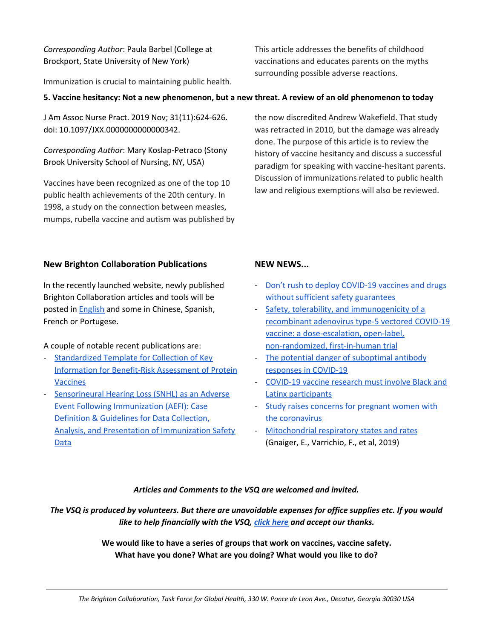*Corresponding Author*: Paula Barbel (College at Brockport, State University of New York)

Immunization is crucial to maintaining public health.

5. Vaccine hesitancy: Not a new phenomenon, but a new threat. A review of an old phenomenon to today

J Am Assoc Nurse Pract. 2019 Nov; 31(11):624-626. doi: 10.1097/JXX.0000000000000342.

*Corresponding Author*: Mary Koslap-Petraco (Stony Brook University School of Nursing, NY, USA)

Vaccines have been recognized as one of the top 10 public health achievements of the 20th century. In 1998, a study on the connection between measles, mumps, rubella vaccine and autism was published by the now discredited Andrew Wakefield. That study was retracted in 2010, but the damage was already done. The purpose of this article is to review the history of vaccine hesitancy and discuss a successful paradigm for speaking with vaccine-hesitant parents. Discussion of immunizations related to public health law and religious exemptions will also be reviewed.

This article addresses the benefits of childhood vaccinations and educates parents on the myths

surrounding possible adverse reactions.

## **New Brighton Collaboration Publications**

In the recently launched website, newly published Brighton Collaboration articles and tools will be posted in **[English](https://brightoncollaboration.us/category/pubs-tools/english/)** and some in Chinese, Spanish, French or Portugese.

A couple of notable recent publications are:

- [Standardized](https://brightoncollaboration.us/protein-template/) Template for Collection of Key Information for [Benefit-Risk](https://brightoncollaboration.us/protein-template/) Assessment of Protein [Vaccines](https://brightoncollaboration.us/protein-template/)
- [Sensorineural](https://brightoncollaboration.us/snhl/) Hearing Loss (SNHL) as an Adverse Event Following [Immunization](https://brightoncollaboration.us/snhl/) (AEFI): Case Definition & Guidelines for Data [Collection,](https://brightoncollaboration.us/snhl/) Analysis, and Presentation of [Immunization](https://brightoncollaboration.us/snhl/) Safety [Data](https://brightoncollaboration.us/snhl/)

## **NEW NEWS...**

- Don't rush to deploy [COVID-19](https://www-nature-com.proxy.library.emory.edu/articles/d41586-020-00751-9) vaccines and drugs without sufficient safety [guarantees](https://www-nature-com.proxy.library.emory.edu/articles/d41586-020-00751-9)
- Safety, tolerability, and [immunogenicity](https://pubmed.ncbi.nlm.nih.gov/32450106/) of a [recombinant](https://pubmed.ncbi.nlm.nih.gov/32450106/) adenovirus type-5 vectored COVID-19 vaccine: a [dose-escalation,](https://pubmed.ncbi.nlm.nih.gov/32450106/) open-label, [non-randomized,](https://pubmed.ncbi.nlm.nih.gov/32450106/) first-in-human trial
- The potential danger of [suboptimal](https://pubmed.ncbi.nlm.nih.gov/32317716/) antibody [responses](https://pubmed.ncbi.nlm.nih.gov/32317716/) in COVID-19
- [COVID-19](https://www.statnews.com/2020/06/26/covid-19-vaccine-trials-must-include-black-and-latinx-participants/) vaccine research must involve Black and Latinx [participants](https://www.statnews.com/2020/06/26/covid-19-vaccine-trials-must-include-black-and-latinx-participants/)
- Study raises concerns for [pregnant](https://www.nytimes.com/2020/06/24/health/coronavirus-pregnancy.html) women with the [coronavirus](https://www.nytimes.com/2020/06/24/health/coronavirus-pregnancy.html)
- [Mitochondrial](https://www.mitofit.org/images/4/46/Gnaiger_2019_MitoFit_Preprint_Arch_doi_10.26124_mitofit_190001.pdf) respiratory states and rates (Gnaiger, E., Varrichio, F., et al, 2019)

## *Articles and Comments to the VSQ are welcomed and invited.*

The VSQ is produced by volunteers. But there are unavoidable expenses for office supplies etc. If you would *like to help financially with the VSQ, click [here](https://brightoncollaboration.us/donate/) and accept our thanks.*

> **We would like to have a series of groups that work on vaccines, vaccine safety. What have you done? What are you doing? What would you like to do?**